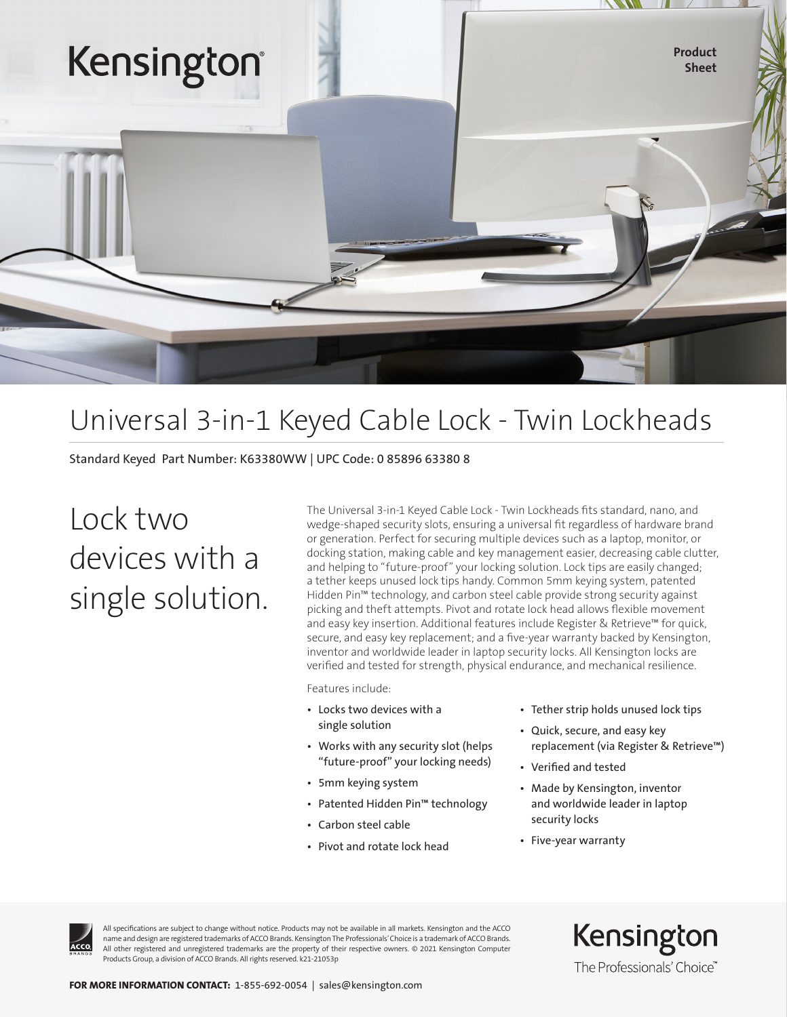

# Universal 3-in-1 Keyed Cable Lock - Twin Lockheads

Standard Keyed Part Number: K63380WW | UPC Code: 0 85896 63380 8

Lock two devices with a single solution. The Universal 3-in-1 Keyed Cable Lock - Twin Lockheads fits standard, nano, and wedge-shaped security slots, ensuring a universal fit regardless of hardware brand or generation. Perfect for securing multiple devices such as a laptop, monitor, or docking station, making cable and key management easier, decreasing cable clutter, and helping to "future-proof" your locking solution. Lock tips are easily changed; a tether keeps unused lock tips handy. Common 5mm keying system, patented Hidden Pin™ technology, and carbon steel cable provide strong security against picking and theft attempts. Pivot and rotate lock head allows flexible movement and easy key insertion. Additional features include Register & Retrieve™ for quick, secure, and easy key replacement; and a five-year warranty backed by Kensington, inventor and worldwide leader in laptop security locks. All Kensington locks are verified and tested for strength, physical endurance, and mechanical resilience.

Features include:

- Locks two devices with a single solution
- Works with any security slot (helps "future-proof" your locking needs)
- 5mm keying system
- Patented Hidden Pin™ technology
- Carbon steel cable
- Pivot and rotate lock head
- Tether strip holds unused lock tips
- Quick, secure, and easy key replacement (via Register & Retrieve™)
- Verified and tested
- Made by Kensington, inventor and worldwide leader in laptop security locks
- Five-year warranty



All specifications are subject to change without notice. Products may not be available in all markets. Kensington and the ACCO name and design are registered trademarks of ACCO Brands. Kensington The Professionals' Choice is a trademark of ACCO Brands. All other registered and unregistered trademarks are the property of their respective owners. © 2021 Kensington Computer Products Group, a division of ACCO Brands. All rights reserved. k21-21053p

Kensington The Professionals' Choice"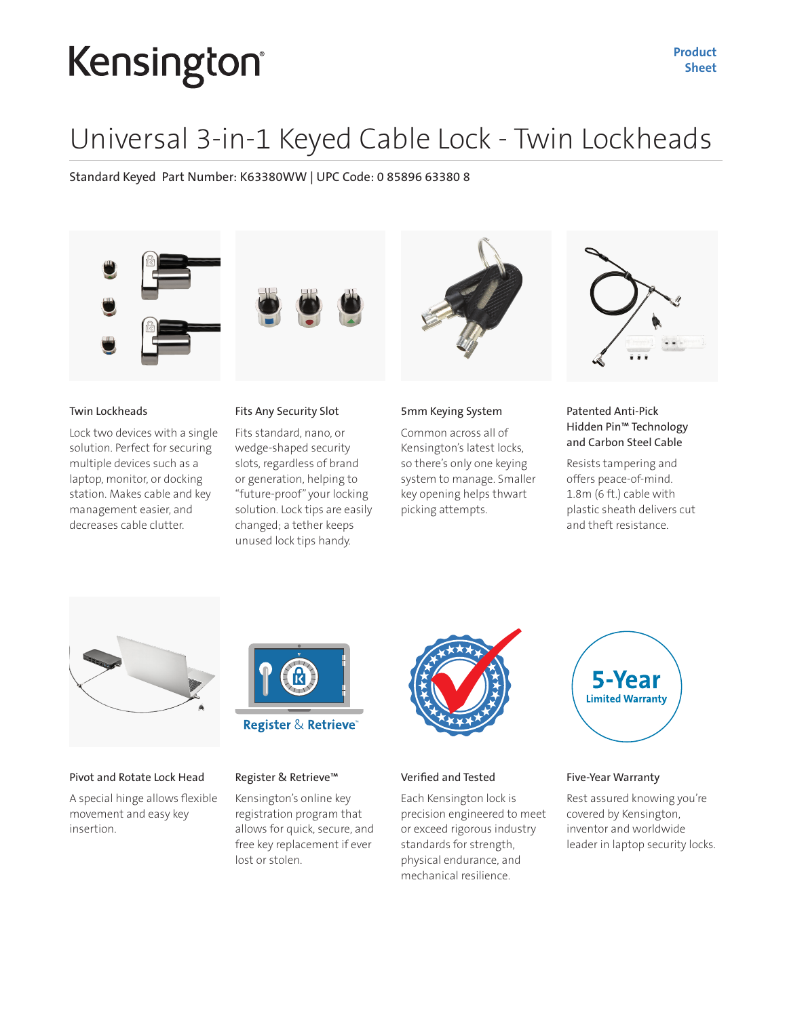# Kensington®

# Universal 3-in-1 Keyed Cable Lock - Twin Lockheads

Standard Keyed Part Number: K63380WW | UPC Code: 0 85896 63380 8





## Twin Lockheads

Lock two devices with a single solution. Perfect for securing multiple devices such as a laptop, monitor, or docking station. Makes cable and key management easier, and decreases cable clutter.

## Fits Any Security Slot

Fits standard, nano, or wedge-shaped security slots, regardless of brand or generation, helping to "future-proof" your locking solution. Lock tips are easily changed; a tether keeps unused lock tips handy.



#### 5mm Keying System

Common across all of Kensington's latest locks, so there's only one keying system to manage. Smaller key opening helps thwart picking attempts.



# Patented Anti-Pick Hidden Pin™ Technology and Carbon Steel Cable

Resists tampering and offers peace-of-mind. 1.8m (6 ft.) cable with plastic sheath delivers cut and theft resistance.



## Pivot and Rotate Lock Head

A special hinge allows flexible movement and easy key insertion.



### Register & Retrieve™

Kensington's online key registration program that allows for quick, secure, and free key replacement if ever lost or stolen.



### Verified and Tested

Each Kensington lock is precision engineered to meet or exceed rigorous industry standards for strength, physical endurance, and mechanical resilience.



### Five-Year Warranty

Rest assured knowing you're covered by Kensington, inventor and worldwide leader in laptop security locks.